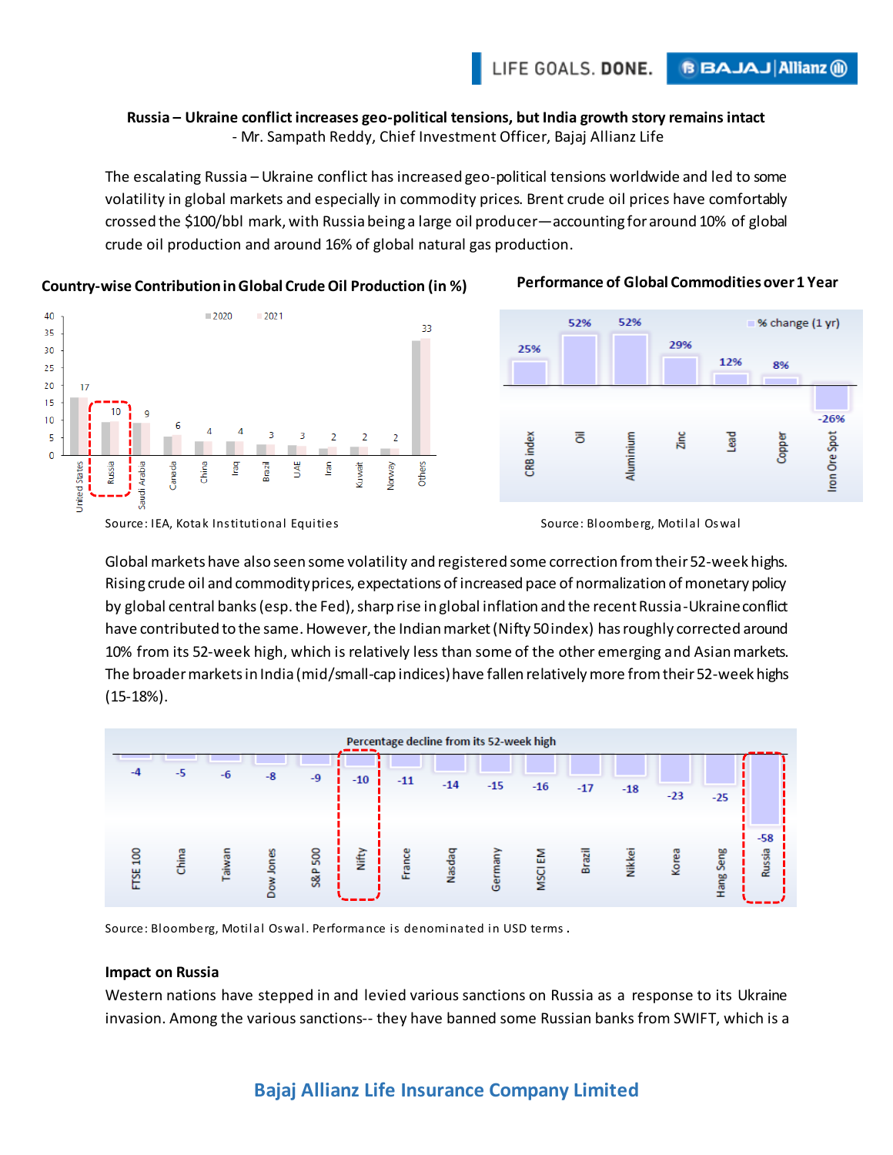#### **Russia – Ukraine conflict increases geo-political tensions, but India growth story remains intact** - Mr. Sampath Reddy, Chief Investment Officer, Bajaj Allianz Life

The escalating Russia – Ukraine conflict has increased geo-political tensions worldwide and led to some volatility in global markets and especially in commodity prices. Brent crude oil prices have comfortably crossed the \$100/bbl mark, with Russia being a large oil producer—accounting for around 10% of global crude oil production and around 16% of global natural gas production.

#### 40  $2020$  $-2021$ 33 35 30 25 20 17 15 10 9  $10$ 3  $\overline{3}$ 5  $\overline{2}$  $\mathbf 0$ Russia dwait Others Arabia China lraq Brazil ¥ lran **United States** Veway Saudi

## **Country-wise Contribution in Global Crude Oil Production (in %) Performance of Global Commodities over 1 Year**



Source: IEA, Kotak Institutional Equities Source: Bloomberg, Motilal Oswal



Global markets have also seen some volatility and registered some correction from their 52-week highs. Rising crude oil and commodity prices, expectations of increased pace of normalization of monetary policy by global central banks (esp. the Fed), sharp rise in global inflation and the recent Russia-Ukraine conflict have contributed to the same. However, the Indian market (Nifty 50 index) has roughly corrected around 10% from its 52-week high, which is relatively less than some of the other emerging and Asian markets. The broader markets in India (mid/small-cap indices) have fallen relatively more from their 52-week highs (15-18%).



Source: Bloomberg, Motilal Oswal. Performance is denominated in USD terms .

#### **Impact on Russia**

Western nations have stepped in and levied various sanctions on Russia as a response to its Ukraine invasion. Among the various sanctions-- they have banned some Russian banks from SWIFT, which is a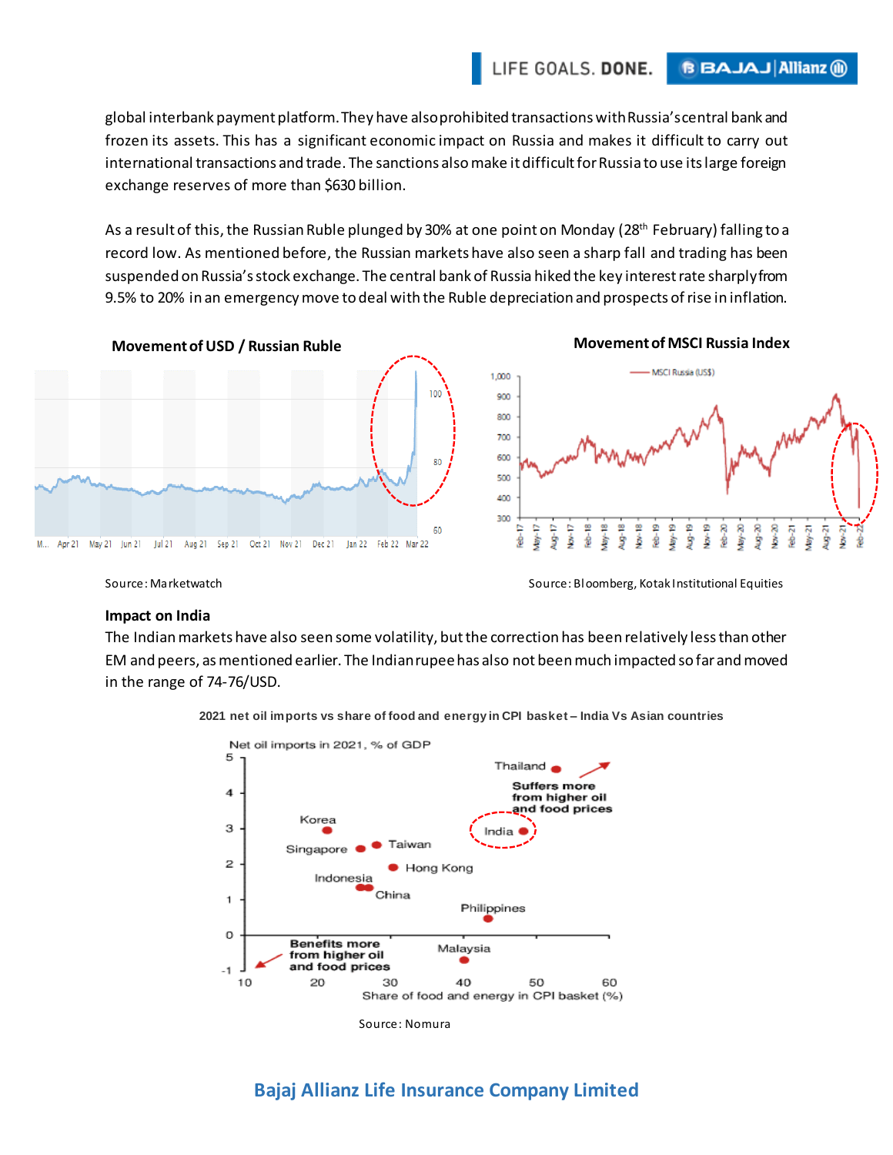global interbank payment platform. They have also prohibited transactionswith Russia's central bank and frozen its assets. This has a significant economic impact on Russia and makes it difficult to carry out international transactions and trade. The sanctions also make it difficult for Russia to use its large foreign exchange reserves of more than \$630 billion.

As a result of this, the Russian Ruble plunged by 30% at one point on Monday (28<sup>th</sup> February) falling to a record low. As mentioned before, the Russian markets have also seen a sharp fall and trading has been suspended on Russia's stock exchange. The central bank of Russia hiked the key interest rate sharply from 9.5% to 20% in an emergency move to deal with the Ruble depreciation and prospects of rise in inflation.



Source: Marketwatch Source: Bloomberg, Kotak Institutional Equities

#### **Impact on India**

The Indian markets have also seen some volatility, but the correction has been relatively less than other EM and peers, as mentioned earlier. The Indian rupee has also not been much impacted so far and moved in the range of 74-76/USD.



**2021 net oil imports vs share of food and energy in CPI basket – India Vs Asian countries**

## **Bajaj Allianz Life Insurance Company Limited**